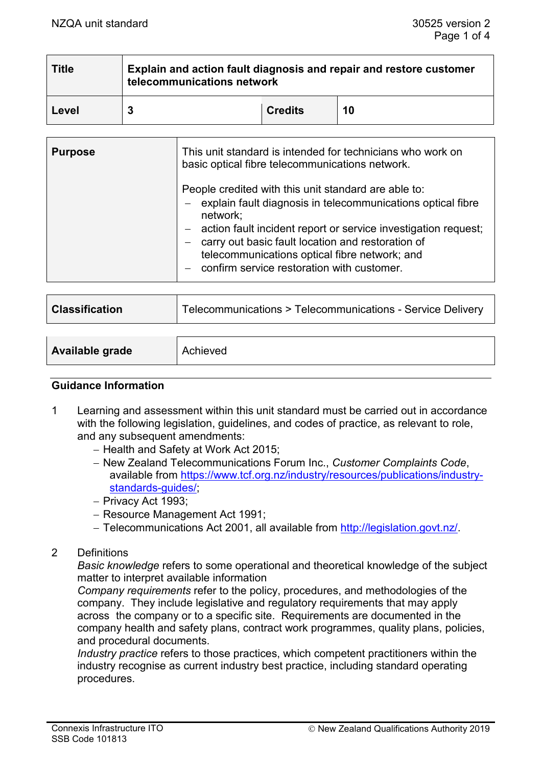| <b>Title</b> | Explain and action fault diagnosis and repair and restore customer<br>telecommunications network |                |    |
|--------------|--------------------------------------------------------------------------------------------------|----------------|----|
| Level        |                                                                                                  | <b>Credits</b> | 10 |

| <b>Purpose</b> | This unit standard is intended for technicians who work on<br>basic optical fibre telecommunications network.                                                                                                                                                                                                                                             |  |
|----------------|-----------------------------------------------------------------------------------------------------------------------------------------------------------------------------------------------------------------------------------------------------------------------------------------------------------------------------------------------------------|--|
|                | People credited with this unit standard are able to:<br>explain fault diagnosis in telecommunications optical fibre<br>network;<br>- action fault incident report or service investigation request;<br>carry out basic fault location and restoration of<br>telecommunications optical fibre network; and<br>- confirm service restoration with customer. |  |

| <b>Classification</b> | Telecommunications > Telecommunications - Service Delivery |  |
|-----------------------|------------------------------------------------------------|--|
|                       |                                                            |  |
|                       |                                                            |  |

| Available grade | Achieved |
|-----------------|----------|
|                 |          |

#### **Guidance Information**

- 1 Learning and assessment within this unit standard must be carried out in accordance with the following legislation, guidelines, and codes of practice, as relevant to role, and any subsequent amendments:
	- − Health and Safety at Work Act 2015;
	- − New Zealand Telecommunications Forum Inc., *Customer Complaints Code*, available from [https://www.tcf.org.nz/industry/resources/publications/industry](https://www.tcf.org.nz/industry/resources/publications/industry-standards-guides/)[standards-guides/;](https://www.tcf.org.nz/industry/resources/publications/industry-standards-guides/)
	- − Privacy Act 1993;
	- − Resource Management Act 1991;
	- − Telecommunications Act 2001, all available from [http://legislation.govt.nz/.](http://legislation.govt.nz/)
- 2 Definitions

*Basic knowledge* refers to some operational and theoretical knowledge of the subject matter to interpret available information

*Company requirements* refer to the policy, procedures, and methodologies of the company. They include legislative and regulatory requirements that may apply across the company or to a specific site. Requirements are documented in the company health and safety plans, contract work programmes, quality plans, policies, and procedural documents.

*Industry practice* refers to those practices, which competent practitioners within the industry recognise as current industry best practice, including standard operating procedures.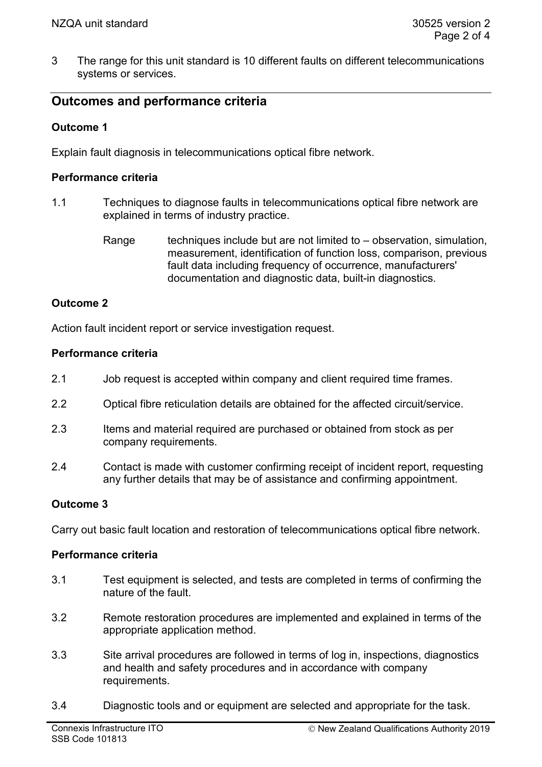3 The range for this unit standard is 10 different faults on different telecommunications systems or services.

# **Outcomes and performance criteria**

# **Outcome 1**

Explain fault diagnosis in telecommunications optical fibre network.

### **Performance criteria**

- 1.1 Techniques to diagnose faults in telecommunications optical fibre network are explained in terms of industry practice.
	- Range techniques include but are not limited to  $-$  observation, simulation, measurement, identification of function loss, comparison, previous fault data including frequency of occurrence, manufacturers' documentation and diagnostic data, built-in diagnostics.

## **Outcome 2**

Action fault incident report or service investigation request.

#### **Performance criteria**

- 2.1 Job request is accepted within company and client required time frames.
- 2.2 Optical fibre reticulation details are obtained for the affected circuit/service.
- 2.3 Items and material required are purchased or obtained from stock as per company requirements.
- 2.4 Contact is made with customer confirming receipt of incident report, requesting any further details that may be of assistance and confirming appointment.

#### **Outcome 3**

Carry out basic fault location and restoration of telecommunications optical fibre network.

#### **Performance criteria**

- 3.1 Test equipment is selected, and tests are completed in terms of confirming the nature of the fault.
- 3.2 Remote restoration procedures are implemented and explained in terms of the appropriate application method.
- 3.3 Site arrival procedures are followed in terms of log in, inspections, diagnostics and health and safety procedures and in accordance with company requirements.
- 3.4 Diagnostic tools and or equipment are selected and appropriate for the task.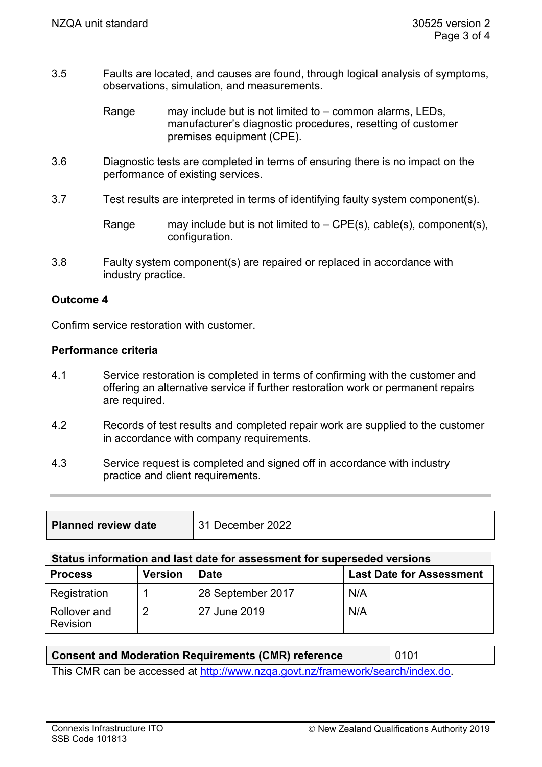- 3.5 Faults are located, and causes are found, through logical analysis of symptoms, observations, simulation, and measurements.
	- Range may include but is not limited to common alarms, LEDs, manufacturer's diagnostic procedures, resetting of customer premises equipment (CPE).
- 3.6 Diagnostic tests are completed in terms of ensuring there is no impact on the performance of existing services.
- 3.7 Test results are interpreted in terms of identifying faulty system component(s).

Range may include but is not limited to  $-$  CPE(s), cable(s), component(s), configuration.

3.8 Faulty system component(s) are repaired or replaced in accordance with industry practice.

#### **Outcome 4**

Confirm service restoration with customer.

#### **Performance criteria**

- 4.1 Service restoration is completed in terms of confirming with the customer and offering an alternative service if further restoration work or permanent repairs are required.
- 4.2 Records of test results and completed repair work are supplied to the customer in accordance with company requirements.
- 4.3 Service request is completed and signed off in accordance with industry practice and client requirements.

| <b>Planned review date</b> | 31 December 2022 |
|----------------------------|------------------|
|                            |                  |

#### **Status information and last date for assessment for superseded versions**

| <b>Process</b>           | <b>Version</b> | <b>Date</b>       | <b>Last Date for Assessment</b> |
|--------------------------|----------------|-------------------|---------------------------------|
| Registration             |                | 28 September 2017 | N/A                             |
| Rollover and<br>Revision | ≘              | 27 June 2019      | N/A                             |

| <b>Consent and Moderation Requirements (CMR) reference</b>                   | 0101 |  |
|------------------------------------------------------------------------------|------|--|
| This CND can be coopered of http://www.pres.co.t.pr/framewer/coopeb/index.de |      |  |

This CMR can be accessed at [http://www.nzqa.govt.nz/framework/search/index.do.](http://www.nzqa.govt.nz/framework/search/index.do)